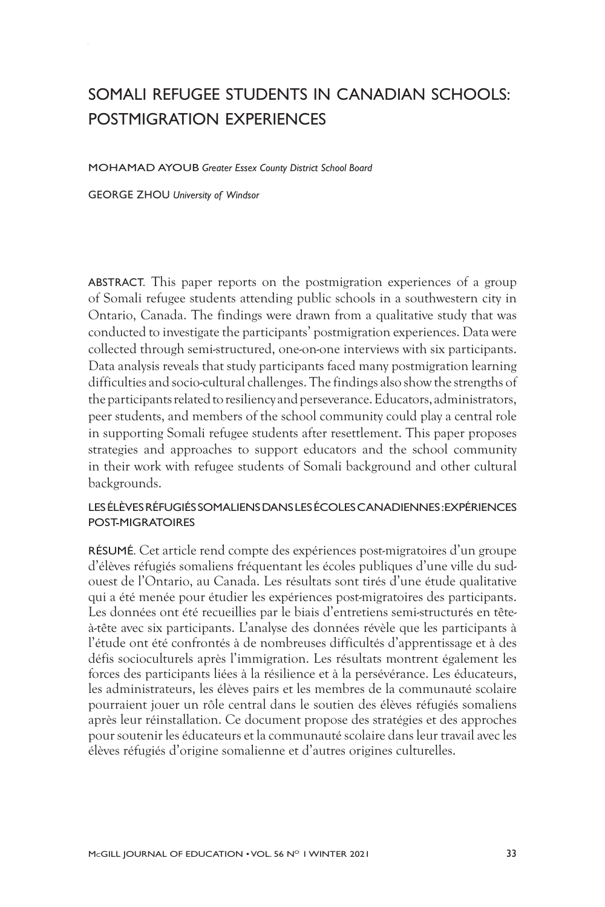# SOMALI REFUGEE STUDENTS IN CANADIAN SCHOOLS: POSTMIGRATION EXPERIENCES

MOHAMAD AYOUB *Greater Essex County District School Board*

GEORGE ZHOU *University of Windsor*

ABSTRACT. This paper reports on the postmigration experiences of a group of Somali refugee students attending public schools in a southwestern city in Ontario, Canada. The findings were drawn from a qualitative study that was conducted to investigate the participants' postmigration experiences. Data were collected through semi-structured, one-on-one interviews with six participants. Data analysis reveals that study participants faced many postmigration learning difficulties and socio-cultural challenges. The findings also show the strengths of the participants related to resiliency and perseverance. Educators, administrators, peer students, and members of the school community could play a central role in supporting Somali refugee students after resettlement. This paper proposes strategies and approaches to support educators and the school community in their work with refugee students of Somali background and other cultural backgrounds.

#### LES ÉLÈVES RÉFUGIÉS SOMALIENS DANS LES ÉCOLES CANADIENNES: EXPÉRIENCES POST-MIGRATOIRES

RÉSUMÉ. Cet article rend compte des expériences post-migratoires d'un groupe d'élèves réfugiés somaliens fréquentant les écoles publiques d'une ville du sudouest de l'Ontario, au Canada. Les résultats sont tirés d'une étude qualitative qui a été menée pour étudier les expériences post-migratoires des participants. Les données ont été recueillies par le biais d'entretiens semi-structurés en têteà-tête avec six participants. L'analyse des données révèle que les participants à l'étude ont été confrontés à de nombreuses difficultés d'apprentissage et à des défis socioculturels après l'immigration. Les résultats montrent également les forces des participants liées à la résilience et à la persévérance. Les éducateurs, les administrateurs, les élèves pairs et les membres de la communauté scolaire pourraient jouer un rôle central dans le soutien des élèves réfugiés somaliens après leur réinstallation. Ce document propose des stratégies et des approches pour soutenir les éducateurs et la communauté scolaire dans leur travail avec les élèves réfugiés d'origine somalienne et d'autres origines culturelles.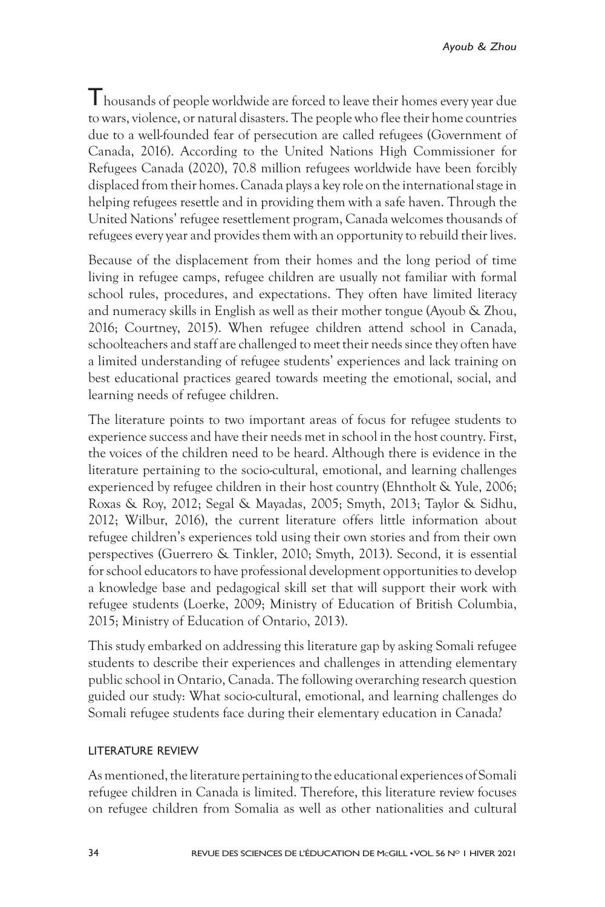Thousands of people worldwide are forced to leave their homes every year due to wars, violence, or natural disasters. The people who flee their home countries due to a well-founded fear of persecution are called refugees (Government of Canada, 2016). According to the United Nations High Commissioner for Refugees Canada (2020), 70.8 million refugees worldwide have been forcibly displaced from their homes. Canada plays a key role on the international stage in helping refugees resettle and in providing them with a safe haven. Through the United Nations' refugee resettlement program, Canada welcomes thousands of refugees every year and provides them with an opportunity to rebuild their lives.

Because of the displacement from their homes and the long period of time living in refugee camps, refugee children are usually not familiar with formal school rules, procedures, and expectations. They often have limited literacy and numeracy skills in English as well as their mother tongue (Ayoub & Zhou, 2016; Courtney, 2015). When refugee children attend school in Canada, schoolteachers and staff are challenged to meet their needs since they often have a limited understanding of refugee students' experiences and lack training on best educational practices geared towards meeting the emotional, social, and learning needs of refugee children.

The literature points to two important areas of focus for refugee students to experience success and have their needs met in school in the host country. First, the voices of the children need to be heard. Although there is evidence in the literature pertaining to the socio-cultural, emotional, and learning challenges experienced by refugee children in their host country (Ehntholt & Yule, 2006; Roxas & Roy, 2012; Segal & Mayadas, 2005; Smyth, 2013; Taylor & Sidhu, 2012; Wilbur, 2016), the current literature offers little information about refugee children's experiences told using their own stories and from their own perspectives (Guerrero & Tinkler, 2010; Smyth, 2013). Second, it is essential for school educators to have professional development opportunities to develop a knowledge base and pedagogical skill set that will support their work with refugee students (Loerke, 2009; Ministry of Education of British Columbia, 2015; Ministry of Education of Ontario, 2013).

This study embarked on addressing this literature gap by asking Somali refugee students to describe their experiences and challenges in attending elementary public school in Ontario, Canada. The following overarching research question guided our study: What socio-cultural, emotional, and learning challenges do Somali refugee students face during their elementary education in Canada?

#### LITERATURE REVIEW

As mentioned, the literature pertaining to the educational experiences of Somali refugee children in Canada is limited. Therefore, this literature review focuses on refugee children from Somalia as well as other nationalities and cultural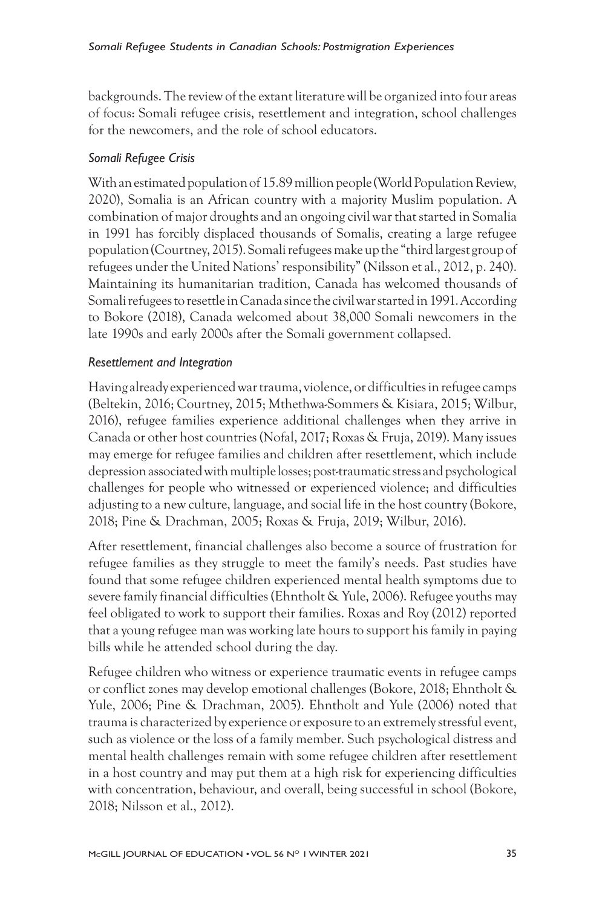backgrounds. The review of the extant literature will be organized into four areas of focus: Somali refugee crisis, resettlement and integration, school challenges for the newcomers, and the role of school educators.

# *Somali Refugee Crisis*

With an estimated population of 15.89 million people (World Population Review, 2020), Somalia is an African country with a majority Muslim population. A combination of major droughts and an ongoing civil war that started in Somalia in 1991 has forcibly displaced thousands of Somalis, creating a large refugee population (Courtney, 2015). Somali refugees make up the "third largest group of refugees under the United Nations' responsibility" (Nilsson et al., 2012, p. 240). Maintaining its humanitarian tradition, Canada has welcomed thousands of Somali refugees to resettle in Canada since the civil war started in 1991. According to Bokore (2018), Canada welcomed about 38,000 Somali newcomers in the late 1990s and early 2000s after the Somali government collapsed.

### *Resettlement and Integration*

Having already experienced war trauma, violence, or difficulties in refugee camps (Beltekin, 2016; Courtney, 2015; Mthethwa-Sommers & Kisiara, 2015; Wilbur, 2016), refugee families experience additional challenges when they arrive in Canada or other host countries (Nofal, 2017; Roxas & Fruja, 2019). Many issues may emerge for refugee families and children after resettlement, which include depression associated with multiple losses; post-traumatic stress and psychological challenges for people who witnessed or experienced violence; and difficulties adjusting to a new culture, language, and social life in the host country (Bokore, 2018; Pine & Drachman, 2005; Roxas & Fruja, 2019; Wilbur, 2016).

After resettlement, financial challenges also become a source of frustration for refugee families as they struggle to meet the family's needs. Past studies have found that some refugee children experienced mental health symptoms due to severe family financial difficulties (Ehntholt & Yule, 2006). Refugee youths may feel obligated to work to support their families. Roxas and Roy (2012) reported that a young refugee man was working late hours to support his family in paying bills while he attended school during the day.

Refugee children who witness or experience traumatic events in refugee camps or conflict zones may develop emotional challenges (Bokore, 2018; Ehntholt & Yule, 2006; Pine & Drachman, 2005). Ehntholt and Yule (2006) noted that trauma is characterized by experience or exposure to an extremely stressful event, such as violence or the loss of a family member. Such psychological distress and mental health challenges remain with some refugee children after resettlement in a host country and may put them at a high risk for experiencing difficulties with concentration, behaviour, and overall, being successful in school (Bokore, 2018; Nilsson et al., 2012).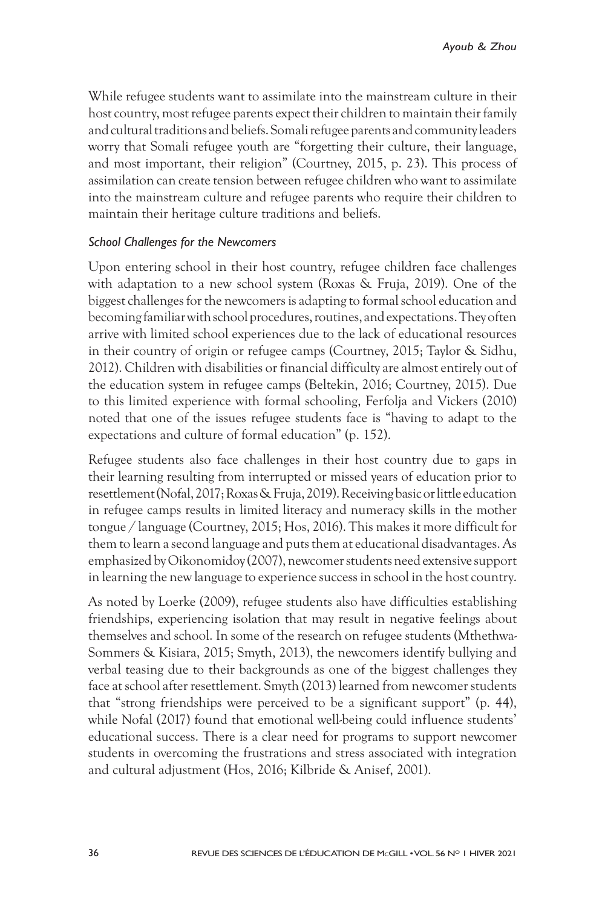While refugee students want to assimilate into the mainstream culture in their host country, most refugee parents expect their children to maintain their family and cultural traditions and beliefs. Somali refugee parents and community leaders worry that Somali refugee youth are "forgetting their culture, their language, and most important, their religion" (Courtney, 2015, p. 23). This process of assimilation can create tension between refugee children who want to assimilate into the mainstream culture and refugee parents who require their children to maintain their heritage culture traditions and beliefs.

#### *School Challenges for the Newcomers*

Upon entering school in their host country, refugee children face challenges with adaptation to a new school system (Roxas & Fruja, 2019). One of the biggest challenges for the newcomers is adapting to formal school education and becoming familiar with school procedures, routines, and expectations. They often arrive with limited school experiences due to the lack of educational resources in their country of origin or refugee camps (Courtney, 2015; Taylor & Sidhu, 2012). Children with disabilities or financial difficulty are almost entirely out of the education system in refugee camps (Beltekin, 2016; Courtney, 2015). Due to this limited experience with formal schooling, Ferfolja and Vickers (2010) noted that one of the issues refugee students face is "having to adapt to the expectations and culture of formal education" (p. 152).

Refugee students also face challenges in their host country due to gaps in their learning resulting from interrupted or missed years of education prior to resettlement (Nofal, 2017; Roxas& Fruja, 2019). Receiving basic or little education in refugee camps results in limited literacy and numeracy skills in the mother tongue / language (Courtney, 2015; Hos, 2016). This makes it more difficult for them to learn a second language and puts them at educational disadvantages. As emphasized by Oikonomidoy (2007), newcomer students need extensive support in learning the new language to experience success in school in the host country.

As noted by Loerke (2009), refugee students also have difficulties establishing friendships, experiencing isolation that may result in negative feelings about themselves and school. In some of the research on refugee students (Mthethwa-Sommers & Kisiara, 2015; Smyth, 2013), the newcomers identify bullying and verbal teasing due to their backgrounds as one of the biggest challenges they face at school after resettlement. Smyth (2013) learned from newcomer students that "strong friendships were perceived to be a significant support" (p. 44), while Nofal (2017) found that emotional well-being could influence students' educational success. There is a clear need for programs to support newcomer students in overcoming the frustrations and stress associated with integration and cultural adjustment (Hos, 2016; Kilbride & Anisef, 2001).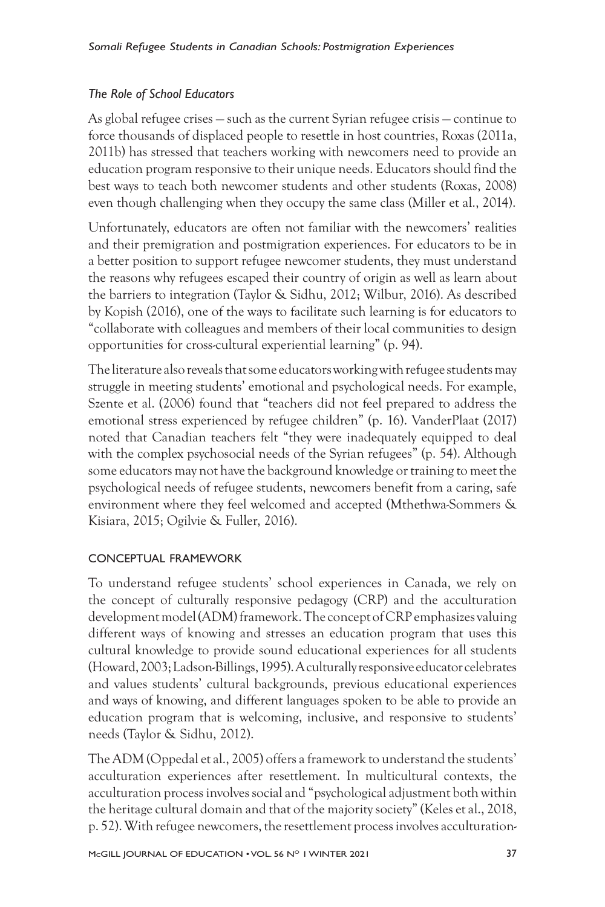#### *The Role of School Educators*

As global refugee crises — such as the current Syrian refugee crisis — continue to force thousands of displaced people to resettle in host countries, Roxas (2011a, 2011b) has stressed that teachers working with newcomers need to provide an education program responsive to their unique needs. Educators should find the best ways to teach both newcomer students and other students (Roxas, 2008) even though challenging when they occupy the same class (Miller et al., 2014).

Unfortunately, educators are often not familiar with the newcomers' realities and their premigration and postmigration experiences. For educators to be in a better position to support refugee newcomer students, they must understand the reasons why refugees escaped their country of origin as well as learn about the barriers to integration (Taylor & Sidhu, 2012; Wilbur, 2016). As described by Kopish (2016), one of the ways to facilitate such learning is for educators to "collaborate with colleagues and members of their local communities to design opportunities for cross-cultural experiential learning" (p. 94).

The literature also reveals that some educators working with refugee students may struggle in meeting students' emotional and psychological needs. For example, Szente et al. (2006) found that "teachers did not feel prepared to address the emotional stress experienced by refugee children" (p. 16). VanderPlaat (2017) noted that Canadian teachers felt "they were inadequately equipped to deal with the complex psychosocial needs of the Syrian refugees" (p. 54). Although some educators may not have the background knowledge or training to meet the psychological needs of refugee students, newcomers benefit from a caring, safe environment where they feel welcomed and accepted (Mthethwa-Sommers & Kisiara, 2015; Ogilvie & Fuller, 2016).

#### CONCEPTUAL FRAMEWORK

To understand refugee students' school experiences in Canada, we rely on the concept of culturally responsive pedagogy (CRP) and the acculturation development model (ADM) framework. The concept of CRP emphasizes valuing different ways of knowing and stresses an education program that uses this cultural knowledge to provide sound educational experiences for all students (Howard, 2003; Ladson-Billings, 1995). A culturally responsive educator celebrates and values students' cultural backgrounds, previous educational experiences and ways of knowing, and different languages spoken to be able to provide an education program that is welcoming, inclusive, and responsive to students' needs (Taylor & Sidhu, 2012).

The ADM (Oppedal et al., 2005) offers a framework to understand the students' acculturation experiences after resettlement. In multicultural contexts, the acculturation process involves social and "psychological adjustment both within the heritage cultural domain and that of the majority society" (Keles et al., 2018, p. 52). With refugee newcomers, the resettlement process involves acculturation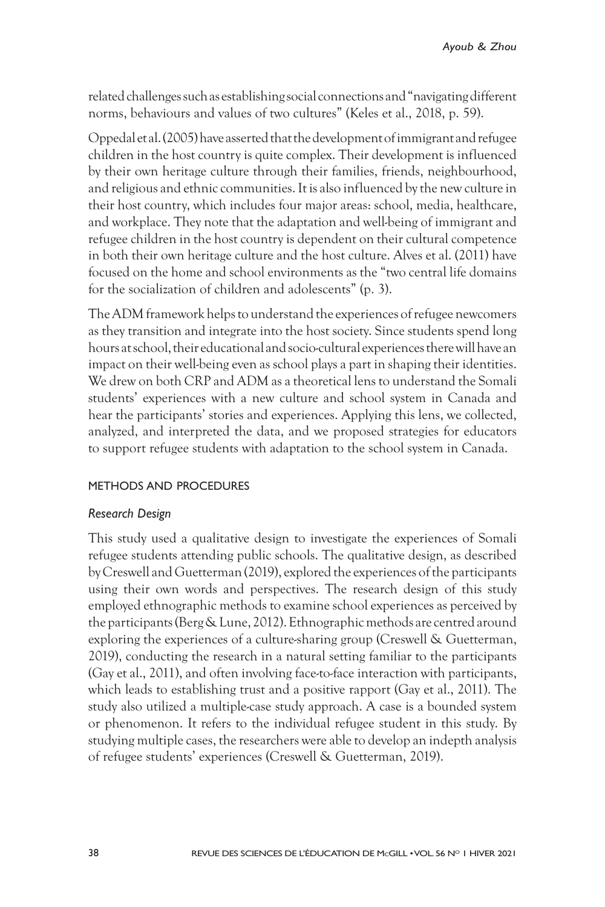related challenges such as establishing social connections and "navigating different norms, behaviours and values of two cultures" (Keles et al., 2018, p. 59).

Oppedal et al. (2005) have asserted that the development of immigrant and refugee children in the host country is quite complex. Their development is influenced by their own heritage culture through their families, friends, neighbourhood, and religious and ethnic communities. It is also influenced by the new culture in their host country, which includes four major areas: school, media, healthcare, and workplace. They note that the adaptation and well-being of immigrant and refugee children in the host country is dependent on their cultural competence in both their own heritage culture and the host culture. Alves et al. (2011) have focused on the home and school environments as the "two central life domains for the socialization of children and adolescents" (p. 3).

The ADM framework helps to understand the experiences of refugee newcomers as they transition and integrate into the host society. Since students spend long hours at school, their educational and socio-cultural experiences there will have an impact on their well-being even as school plays a part in shaping their identities. We drew on both CRP and ADM as a theoretical lens to understand the Somali students' experiences with a new culture and school system in Canada and hear the participants' stories and experiences. Applying this lens, we collected, analyzed, and interpreted the data, and we proposed strategies for educators to support refugee students with adaptation to the school system in Canada.

#### METHODS AND PROCEDURES

### *Research Design*

This study used a qualitative design to investigate the experiences of Somali refugee students attending public schools. The qualitative design, as described by Creswell and Guetterman (2019), explored the experiences of the participants using their own words and perspectives. The research design of this study employed ethnographic methods to examine school experiences as perceived by the participants (Berg& Lune, 2012). Ethnographic methods are centred around exploring the experiences of a culture-sharing group (Creswell & Guetterman, 2019), conducting the research in a natural setting familiar to the participants (Gay et al., 2011), and often involving face-to-face interaction with participants, which leads to establishing trust and a positive rapport (Gay et al., 2011). The study also utilized a multiple-case study approach. A case is a bounded system or phenomenon. It refers to the individual refugee student in this study. By studying multiple cases, the researchers were able to develop an indepth analysis of refugee students' experiences (Creswell & Guetterman, 2019).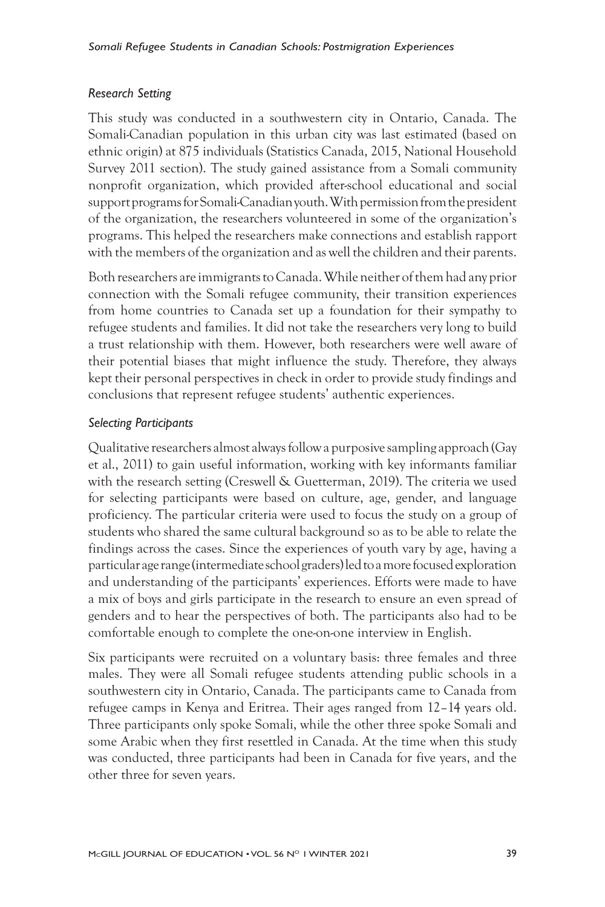### *Research Setting*

This study was conducted in a southwestern city in Ontario, Canada. The Somali-Canadian population in this urban city was last estimated (based on ethnic origin) at 875 individuals (Statistics Canada, 2015, National Household Survey 2011 section). The study gained assistance from a Somali community nonprofit organization, which provided after-school educational and social support programs for Somali-Canadian youth. With permission from the president of the organization, the researchers volunteered in some of the organization's programs. This helped the researchers make connections and establish rapport with the members of the organization and as well the children and their parents.

Both researchers are immigrants to Canada. While neither of them had any prior connection with the Somali refugee community, their transition experiences from home countries to Canada set up a foundation for their sympathy to refugee students and families. It did not take the researchers very long to build a trust relationship with them. However, both researchers were well aware of their potential biases that might influence the study. Therefore, they always kept their personal perspectives in check in order to provide study findings and conclusions that represent refugee students' authentic experiences.

### *Selecting Participants*

Qualitative researchers almost always follow a purposive sampling approach (Gay et al., 2011) to gain useful information, working with key informants familiar with the research setting (Creswell & Guetterman, 2019). The criteria we used for selecting participants were based on culture, age, gender, and language proficiency. The particular criteria were used to focus the study on a group of students who shared the same cultural background so as to be able to relate the findings across the cases. Since the experiences of youth vary by age, having a particular age range (intermediate school graders) led to a more focused exploration and understanding of the participants' experiences. Efforts were made to have a mix of boys and girls participate in the research to ensure an even spread of genders and to hear the perspectives of both. The participants also had to be comfortable enough to complete the one-on-one interview in English.

Six participants were recruited on a voluntary basis: three females and three males. They were all Somali refugee students attending public schools in a southwestern city in Ontario, Canada. The participants came to Canada from refugee camps in Kenya and Eritrea. Their ages ranged from 12–14 years old. Three participants only spoke Somali, while the other three spoke Somali and some Arabic when they first resettled in Canada. At the time when this study was conducted, three participants had been in Canada for five years, and the other three for seven years.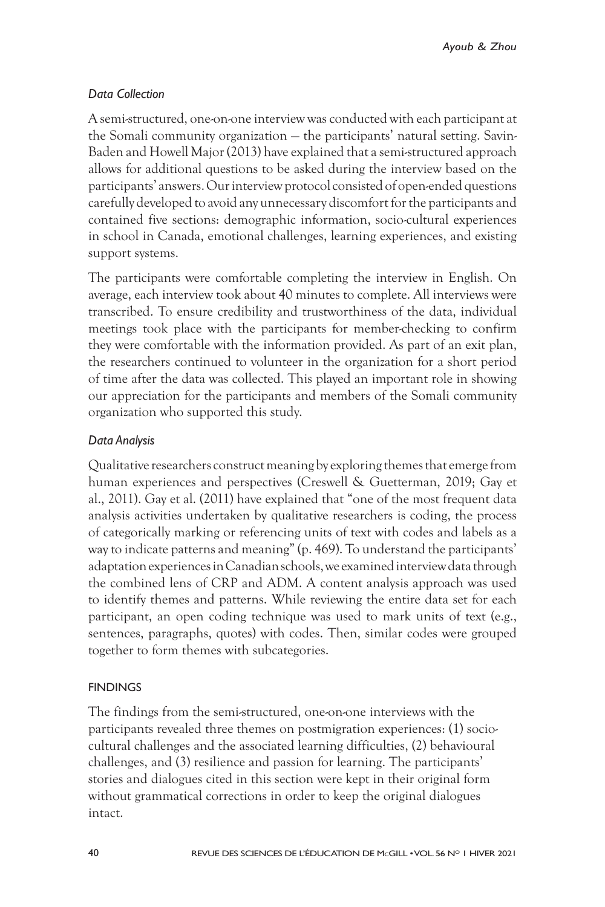# *Data Collection*

A semi-structured, one-on-one interview was conducted with each participant at the Somali community organization — the participants' natural setting. Savin-Baden and Howell Major (2013) have explained that a semi-structured approach allows for additional questions to be asked during the interview based on the participants' answers. Our interview protocol consisted of open-ended questions carefully developed to avoid any unnecessary discomfort for the participants and contained five sections: demographic information, socio-cultural experiences in school in Canada, emotional challenges, learning experiences, and existing support systems.

The participants were comfortable completing the interview in English. On average, each interview took about 40 minutes to complete. All interviews were transcribed. To ensure credibility and trustworthiness of the data, individual meetings took place with the participants for member-checking to confirm they were comfortable with the information provided. As part of an exit plan, the researchers continued to volunteer in the organization for a short period of time after the data was collected. This played an important role in showing our appreciation for the participants and members of the Somali community organization who supported this study.

### *Data Analysis*

Qualitative researchers construct meaning by exploring themes that emerge from human experiences and perspectives (Creswell & Guetterman, 2019; Gay et al., 2011). Gay et al. (2011) have explained that "one of the most frequent data analysis activities undertaken by qualitative researchers is coding, the process of categorically marking or referencing units of text with codes and labels as a way to indicate patterns and meaning" (p. 469). To understand the participants' adaptation experiences in Canadian schools, we examined interview data through the combined lens of CRP and ADM. A content analysis approach was used to identify themes and patterns. While reviewing the entire data set for each participant, an open coding technique was used to mark units of text (e.g., sentences, paragraphs, quotes) with codes. Then, similar codes were grouped together to form themes with subcategories.

### **FINDINGS**

The findings from the semi-structured, one-on-one interviews with the participants revealed three themes on postmigration experiences: (1) sociocultural challenges and the associated learning difficulties, (2) behavioural challenges, and (3) resilience and passion for learning. The participants' stories and dialogues cited in this section were kept in their original form without grammatical corrections in order to keep the original dialogues intact.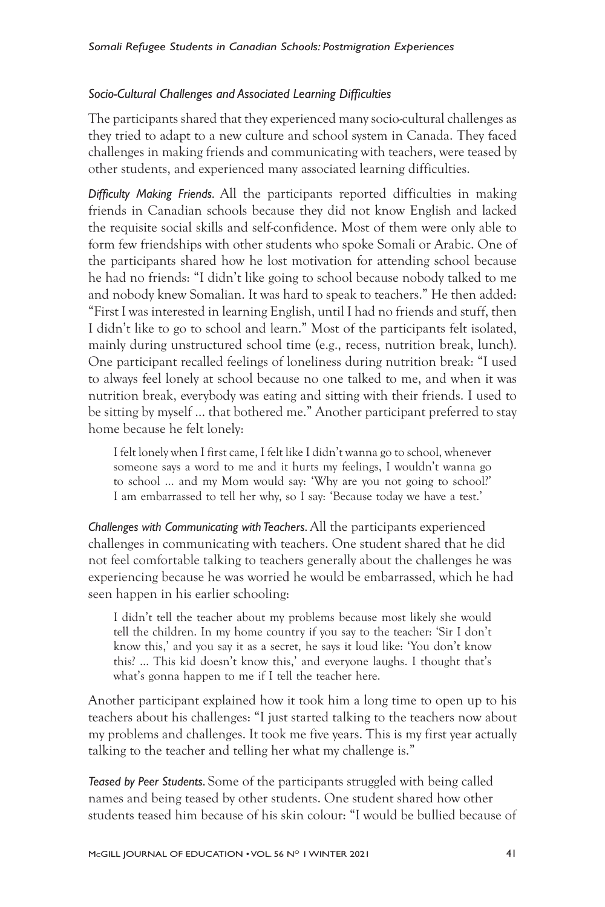#### *Socio-Cultural Challenges and Associated Learning Difficulties*

The participants shared that they experienced many socio-cultural challenges as they tried to adapt to a new culture and school system in Canada. They faced challenges in making friends and communicating with teachers, were teased by other students, and experienced many associated learning difficulties.

*Difficulty Making Friends.* All the participants reported difficulties in making friends in Canadian schools because they did not know English and lacked the requisite social skills and self-confidence. Most of them were only able to form few friendships with other students who spoke Somali or Arabic. One of the participants shared how he lost motivation for attending school because he had no friends: "I didn't like going to school because nobody talked to me and nobody knew Somalian. It was hard to speak to teachers." He then added: "First I was interested in learning English, until I had no friends and stuff, then I didn't like to go to school and learn." Most of the participants felt isolated, mainly during unstructured school time (e.g., recess, nutrition break, lunch). One participant recalled feelings of loneliness during nutrition break: "I used to always feel lonely at school because no one talked to me, and when it was nutrition break, everybody was eating and sitting with their friends. I used to be sitting by myself … that bothered me." Another participant preferred to stay home because he felt lonely:

I felt lonely when I first came, I felt like I didn't wanna go to school, whenever someone says a word to me and it hurts my feelings, I wouldn't wanna go to school … and my Mom would say: 'Why are you not going to school?' I am embarrassed to tell her why, so I say: 'Because today we have a test.'

*Challenges with Communicating with Teachers*. All the participants experienced challenges in communicating with teachers. One student shared that he did not feel comfortable talking to teachers generally about the challenges he was experiencing because he was worried he would be embarrassed, which he had seen happen in his earlier schooling:

I didn't tell the teacher about my problems because most likely she would tell the children. In my home country if you say to the teacher: 'Sir I don't know this,' and you say it as a secret, he says it loud like: 'You don't know this? … This kid doesn't know this,' and everyone laughs. I thought that's what's gonna happen to me if I tell the teacher here.

Another participant explained how it took him a long time to open up to his teachers about his challenges: "I just started talking to the teachers now about my problems and challenges. It took me five years. This is my first year actually talking to the teacher and telling her what my challenge is."

*Teased by Peer Students*. Some of the participants struggled with being called names and being teased by other students. One student shared how other students teased him because of his skin colour: "I would be bullied because of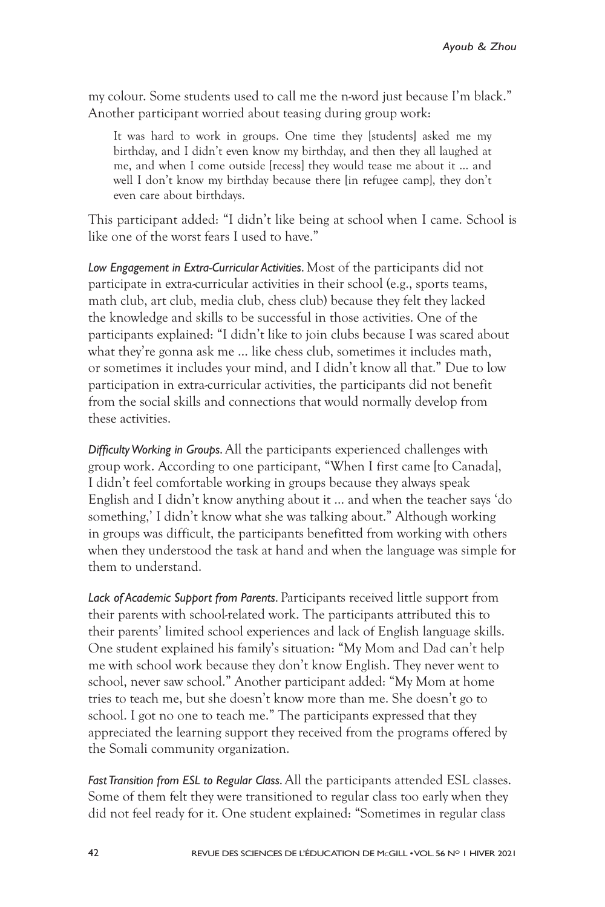my colour. Some students used to call me the n-word just because I'm black." Another participant worried about teasing during group work:

It was hard to work in groups. One time they [students] asked me my birthday, and I didn't even know my birthday, and then they all laughed at me, and when I come outside [recess] they would tease me about it … and well I don't know my birthday because there [in refugee camp], they don't even care about birthdays.

This participant added: "I didn't like being at school when I came. School is like one of the worst fears I used to have."

*Low Engagement in Extra-Curricular Activities*. Most of the participants did not participate in extra-curricular activities in their school (e.g., sports teams, math club, art club, media club, chess club) because they felt they lacked the knowledge and skills to be successful in those activities. One of the participants explained: "I didn't like to join clubs because I was scared about what they're gonna ask me … like chess club, sometimes it includes math, or sometimes it includes your mind, and I didn't know all that." Due to low participation in extra-curricular activities, the participants did not benefit from the social skills and connections that would normally develop from these activities.

*Difficulty Working in Groups*. All the participants experienced challenges with group work. According to one participant, "When I first came [to Canada], I didn't feel comfortable working in groups because they always speak English and I didn't know anything about it … and when the teacher says 'do something,' I didn't know what she was talking about." Although working in groups was difficult, the participants benefitted from working with others when they understood the task at hand and when the language was simple for them to understand.

*Lack of Academic Support from Parents*. Participants received little support from their parents with school-related work. The participants attributed this to their parents' limited school experiences and lack of English language skills. One student explained his family's situation: "My Mom and Dad can't help me with school work because they don't know English. They never went to school, never saw school." Another participant added: "My Mom at home tries to teach me, but she doesn't know more than me. She doesn't go to school. I got no one to teach me." The participants expressed that they appreciated the learning support they received from the programs offered by the Somali community organization.

*Fast Transition from ESL to Regular Class*. All the participants attended ESL classes. Some of them felt they were transitioned to regular class too early when they did not feel ready for it. One student explained: "Sometimes in regular class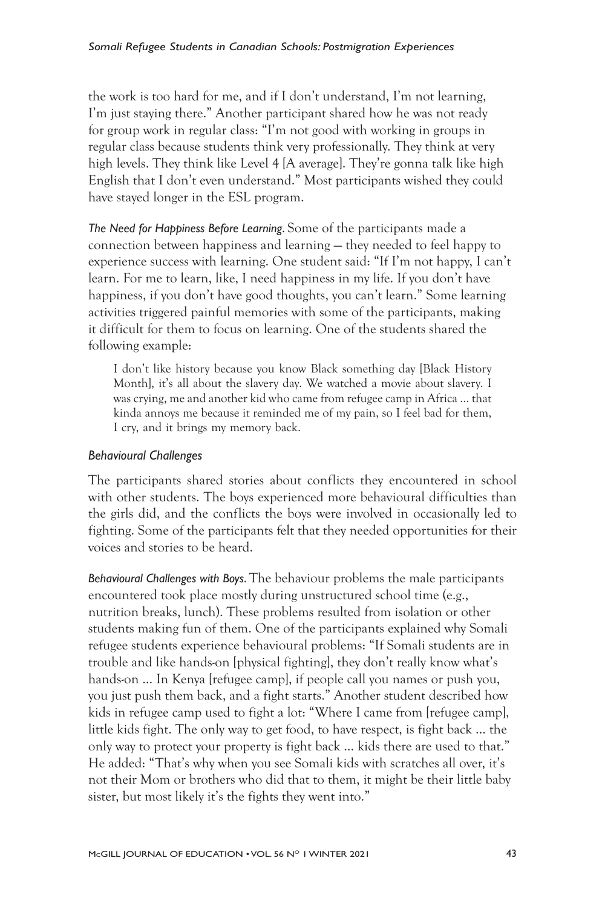the work is too hard for me, and if I don't understand, I'm not learning, I'm just staying there." Another participant shared how he was not ready for group work in regular class: "I'm not good with working in groups in regular class because students think very professionally. They think at very high levels. They think like Level 4 [A average]. They're gonna talk like high English that I don't even understand." Most participants wished they could have stayed longer in the ESL program.

*The Need for Happiness Before Learning*. Some of the participants made a connection between happiness and learning — they needed to feel happy to experience success with learning. One student said: "If I'm not happy, I can't learn. For me to learn, like, I need happiness in my life. If you don't have happiness, if you don't have good thoughts, you can't learn." Some learning activities triggered painful memories with some of the participants, making it difficult for them to focus on learning. One of the students shared the following example:

I don't like history because you know Black something day [Black History Month], it's all about the slavery day. We watched a movie about slavery. I was crying, me and another kid who came from refugee camp in Africa … that kinda annoys me because it reminded me of my pain, so I feel bad for them, I cry, and it brings my memory back.

#### *Behavioural Challenges*

The participants shared stories about conflicts they encountered in school with other students. The boys experienced more behavioural difficulties than the girls did, and the conflicts the boys were involved in occasionally led to fighting. Some of the participants felt that they needed opportunities for their voices and stories to be heard.

*Behavioural Challenges with Boys*. The behaviour problems the male participants encountered took place mostly during unstructured school time (e.g., nutrition breaks, lunch). These problems resulted from isolation or other students making fun of them. One of the participants explained why Somali refugee students experience behavioural problems: "If Somali students are in trouble and like hands-on [physical fighting], they don't really know what's hands-on … In Kenya [refugee camp], if people call you names or push you, you just push them back, and a fight starts." Another student described how kids in refugee camp used to fight a lot: "Where I came from [refugee camp], little kids fight. The only way to get food, to have respect, is fight back … the only way to protect your property is fight back … kids there are used to that." He added: "That's why when you see Somali kids with scratches all over, it's not their Mom or brothers who did that to them, it might be their little baby sister, but most likely it's the fights they went into."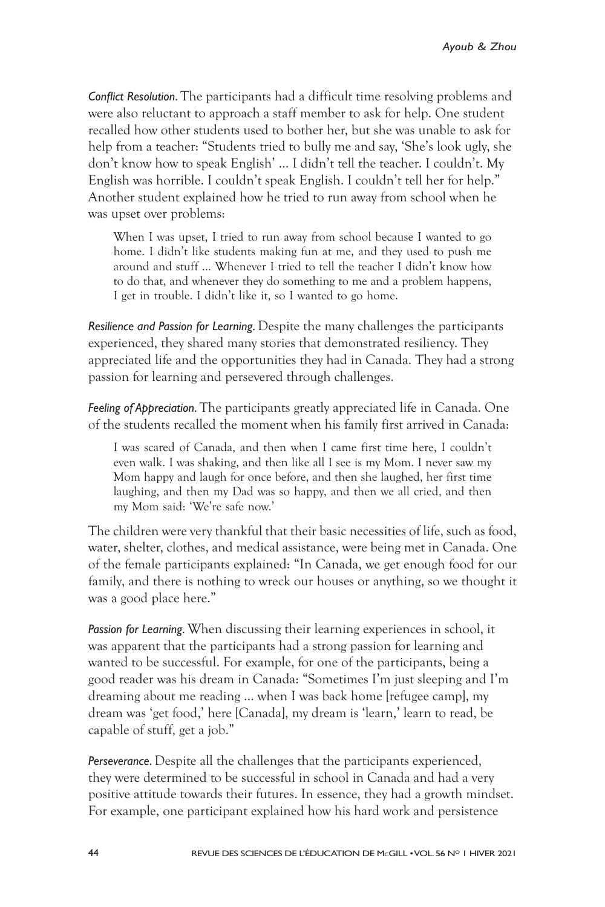*Conflict Resolution*. The participants had a difficult time resolving problems and were also reluctant to approach a staff member to ask for help. One student recalled how other students used to bother her, but she was unable to ask for help from a teacher: "Students tried to bully me and say, 'She's look ugly, she don't know how to speak English' … I didn't tell the teacher. I couldn't. My English was horrible. I couldn't speak English. I couldn't tell her for help." Another student explained how he tried to run away from school when he was upset over problems:

When I was upset, I tried to run away from school because I wanted to go home. I didn't like students making fun at me, and they used to push me around and stuff … Whenever I tried to tell the teacher I didn't know how to do that, and whenever they do something to me and a problem happens, I get in trouble. I didn't like it, so I wanted to go home.

*Resilience and Passion for Learning*. Despite the many challenges the participants experienced, they shared many stories that demonstrated resiliency. They appreciated life and the opportunities they had in Canada. They had a strong passion for learning and persevered through challenges.

*Feeling of Appreciation*. The participants greatly appreciated life in Canada. One of the students recalled the moment when his family first arrived in Canada:

I was scared of Canada, and then when I came first time here, I couldn't even walk. I was shaking, and then like all I see is my Mom. I never saw my Mom happy and laugh for once before, and then she laughed, her first time laughing, and then my Dad was so happy, and then we all cried, and then my Mom said: 'We're safe now.'

The children were very thankful that their basic necessities of life, such as food, water, shelter, clothes, and medical assistance, were being met in Canada. One of the female participants explained: "In Canada, we get enough food for our family, and there is nothing to wreck our houses or anything, so we thought it was a good place here."

*Passion for Learning*. When discussing their learning experiences in school, it was apparent that the participants had a strong passion for learning and wanted to be successful. For example, for one of the participants, being a good reader was his dream in Canada: "Sometimes I'm just sleeping and I'm dreaming about me reading … when I was back home [refugee camp], my dream was 'get food,' here [Canada], my dream is 'learn,' learn to read, be capable of stuff, get a job."

*Perseverance*. Despite all the challenges that the participants experienced, they were determined to be successful in school in Canada and had a very positive attitude towards their futures. In essence, they had a growth mindset. For example, one participant explained how his hard work and persistence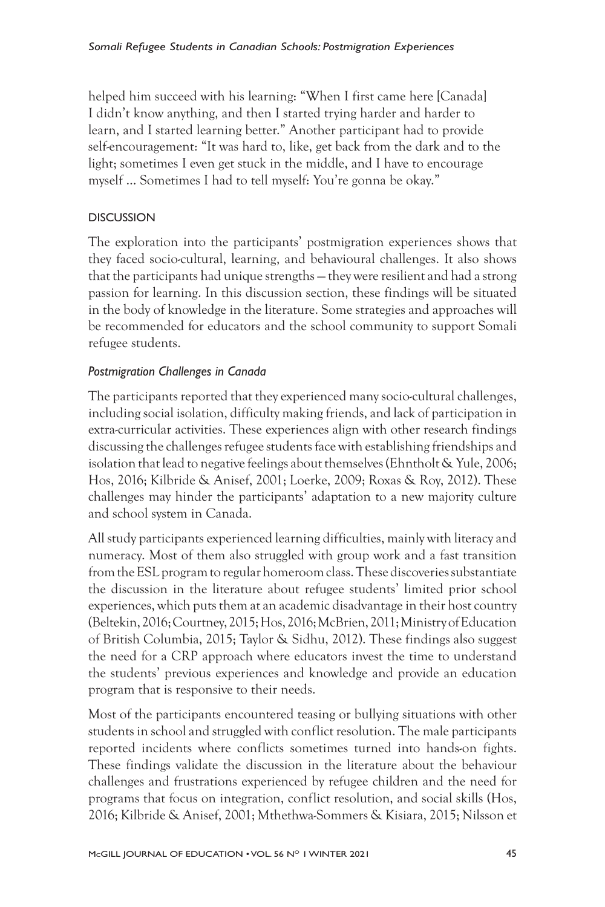helped him succeed with his learning: "When I first came here [Canada] I didn't know anything, and then I started trying harder and harder to learn, and I started learning better." Another participant had to provide self-encouragement: "It was hard to, like, get back from the dark and to the light; sometimes I even get stuck in the middle, and I have to encourage myself … Sometimes I had to tell myself: You're gonna be okay."

### DISCUSSION

The exploration into the participants' postmigration experiences shows that they faced socio-cultural, learning, and behavioural challenges. It also shows that the participants had unique strengths — they were resilient and had a strong passion for learning. In this discussion section, these findings will be situated in the body of knowledge in the literature. Some strategies and approaches will be recommended for educators and the school community to support Somali refugee students.

# *Postmigration Challenges in Canada*

The participants reported that they experienced many socio-cultural challenges, including social isolation, difficulty making friends, and lack of participation in extra-curricular activities. These experiences align with other research findings discussing the challenges refugee students face with establishing friendships and isolation that lead to negative feelings about themselves (Ehntholt & Yule, 2006; Hos, 2016; Kilbride & Anisef, 2001; Loerke, 2009; Roxas & Roy, 2012). These challenges may hinder the participants' adaptation to a new majority culture and school system in Canada.

All study participants experienced learning difficulties, mainly with literacy and numeracy. Most of them also struggled with group work and a fast transition from the ESL program to regular homeroom class. These discoveries substantiate the discussion in the literature about refugee students' limited prior school experiences, which puts them at an academic disadvantage in their host country (Beltekin, 2016; Courtney, 2015; Hos, 2016; McBrien, 2011; Ministry of Education of British Columbia, 2015; Taylor & Sidhu, 2012). These findings also suggest the need for a CRP approach where educators invest the time to understand the students' previous experiences and knowledge and provide an education program that is responsive to their needs.

Most of the participants encountered teasing or bullying situations with other students in school and struggled with conflict resolution. The male participants reported incidents where conflicts sometimes turned into hands-on fights. These findings validate the discussion in the literature about the behaviour challenges and frustrations experienced by refugee children and the need for programs that focus on integration, conflict resolution, and social skills (Hos, 2016; Kilbride & Anisef, 2001; Mthethwa-Sommers & Kisiara, 2015; Nilsson et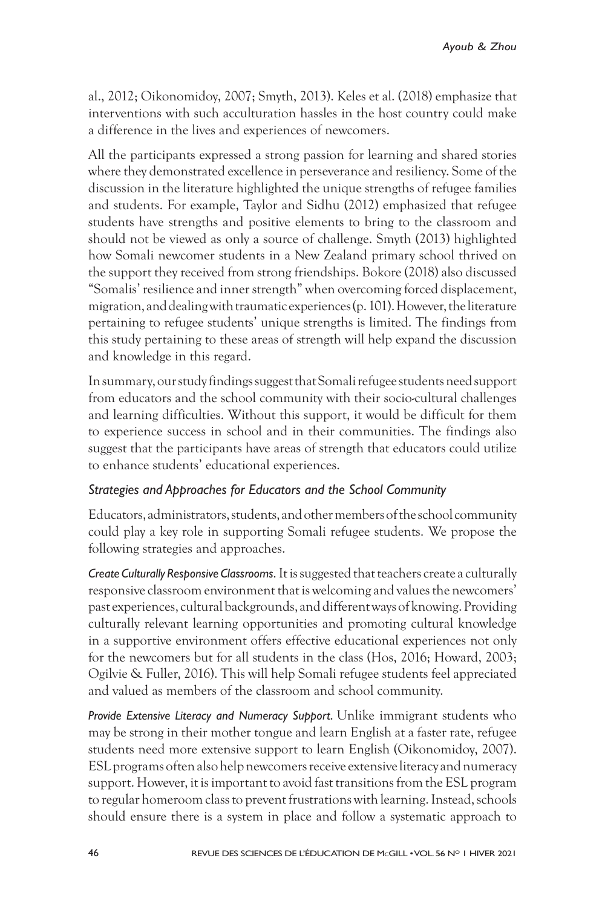al., 2012; Oikonomidoy, 2007; Smyth, 2013). Keles et al. (2018) emphasize that interventions with such acculturation hassles in the host country could make a difference in the lives and experiences of newcomers.

All the participants expressed a strong passion for learning and shared stories where they demonstrated excellence in perseverance and resiliency. Some of the discussion in the literature highlighted the unique strengths of refugee families and students. For example, Taylor and Sidhu (2012) emphasized that refugee students have strengths and positive elements to bring to the classroom and should not be viewed as only a source of challenge. Smyth (2013) highlighted how Somali newcomer students in a New Zealand primary school thrived on the support they received from strong friendships. Bokore (2018) also discussed "Somalis' resilience and inner strength" when overcoming forced displacement, migration, and dealing with traumatic experiences (p.101). However, the literature pertaining to refugee students' unique strengths is limited. The findings from this study pertaining to these areas of strength will help expand the discussion and knowledge in this regard.

In summary, our study findings suggest that Somali refugee students need support from educators and the school community with their socio-cultural challenges and learning difficulties. Without this support, it would be difficult for them to experience success in school and in their communities. The findings also suggest that the participants have areas of strength that educators could utilize to enhance students' educational experiences.

### *Strategies and Approaches for Educators and the School Community*

Educators, administrators, students, and other members of the school community could play a key role in supporting Somali refugee students. We propose the following strategies and approaches.

*Create Culturally Responsive Classrooms*. It is suggested that teachers create a culturally responsive classroom environment that is welcoming and values the newcomers' past experiences, cultural backgrounds, and different ways of knowing. Providing culturally relevant learning opportunities and promoting cultural knowledge in a supportive environment offers effective educational experiences not only for the newcomers but for all students in the class (Hos, 2016; Howard, 2003; Ogilvie & Fuller, 2016). This will help Somali refugee students feel appreciated and valued as members of the classroom and school community.

*Provide Extensive Literacy and Numeracy Support*. Unlike immigrant students who may be strong in their mother tongue and learn English at a faster rate, refugee students need more extensive support to learn English (Oikonomidoy, 2007). ESL programs often also help newcomers receive extensive literacy and numeracy support. However, it is important to avoid fast transitions from the ESL program to regular homeroom class to prevent frustrations with learning. Instead, schools should ensure there is a system in place and follow a systematic approach to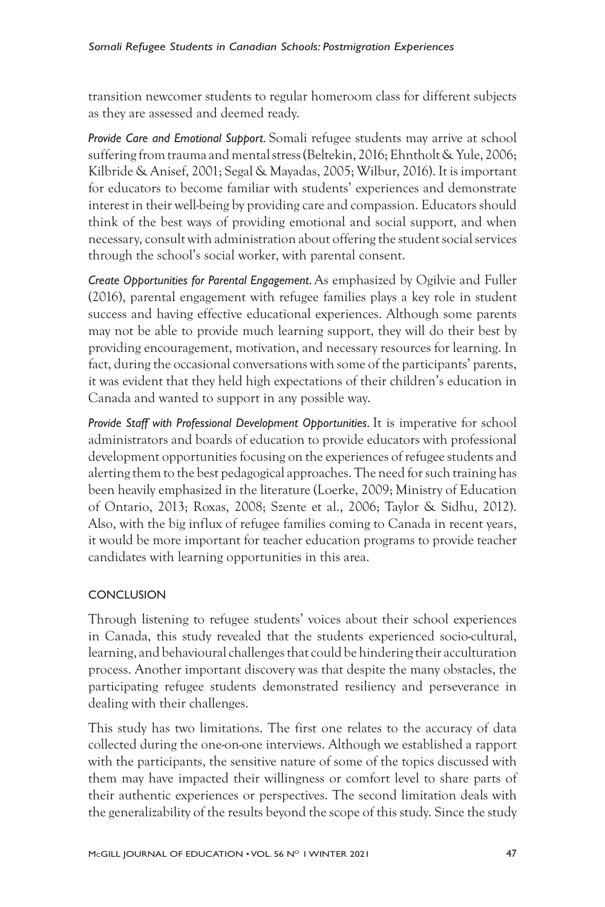transition newcomer students to regular homeroom class for different subjects as they are assessed and deemed ready.

*Provide Care and Emotional Support*. Somali refugee students may arrive at school suffering from trauma and mental stress (Beltekin, 2016; Ehntholt & Yule, 2006; Kilbride & Anisef, 2001; Segal & Mayadas, 2005; Wilbur, 2016). It is important for educators to become familiar with students' experiences and demonstrate interest in their well-being by providing care and compassion. Educators should think of the best ways of providing emotional and social support, and when necessary, consult with administration about offering the student social services through the school's social worker, with parental consent.

*Create Opportunities for Parental Engagement*. As emphasized by Ogilvie and Fuller (2016), parental engagement with refugee families plays a key role in student success and having effective educational experiences. Although some parents may not be able to provide much learning support, they will do their best by providing encouragement, motivation, and necessary resources for learning. In fact, during the occasional conversations with some of the participants' parents, it was evident that they held high expectations of their children's education in Canada and wanted to support in any possible way.

*Provide Staff with Professional Development Opportunities*. It is imperative for school administrators and boards of education to provide educators with professional development opportunities focusing on the experiences of refugee students and alerting them to the best pedagogical approaches. The need for such training has been heavily emphasized in the literature (Loerke, 2009; Ministry of Education of Ontario, 2013; Roxas, 2008; Szente et al., 2006; Taylor & Sidhu, 2012). Also, with the big influx of refugee families coming to Canada in recent years, it would be more important for teacher education programs to provide teacher candidates with learning opportunities in this area.

### **CONCLUSION**

Through listening to refugee students' voices about their school experiences in Canada, this study revealed that the students experienced socio-cultural, learning, and behavioural challenges that could be hindering their acculturation process. Another important discovery was that despite the many obstacles, the participating refugee students demonstrated resiliency and perseverance in dealing with their challenges.

This study has two limitations. The first one relates to the accuracy of data collected during the one-on-one interviews. Although we established a rapport with the participants, the sensitive nature of some of the topics discussed with them may have impacted their willingness or comfort level to share parts of their authentic experiences or perspectives. The second limitation deals with the generalizability of the results beyond the scope of this study. Since the study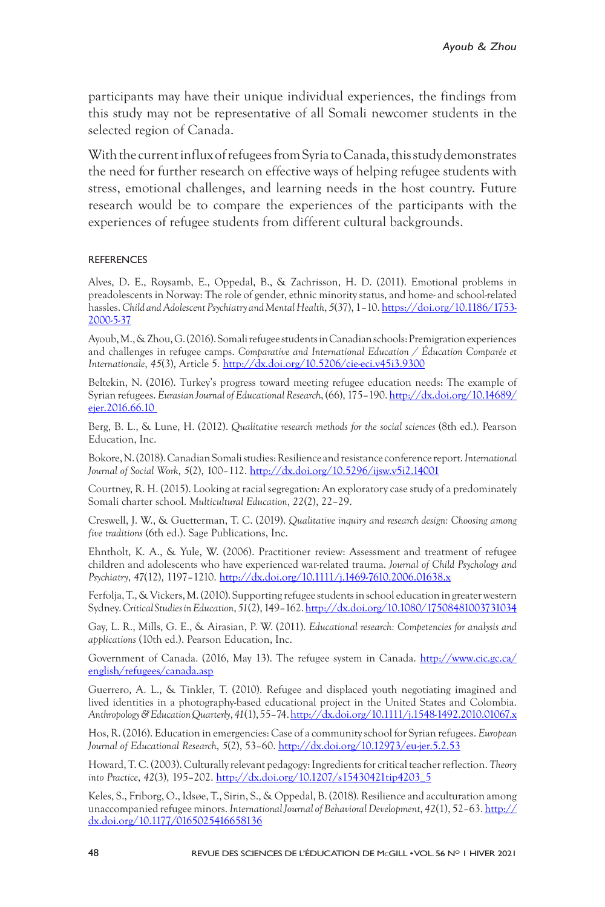participants may have their unique individual experiences, the findings from this study may not be representative of all Somali newcomer students in the selected region of Canada.

With the current influx of refugees from Syria to Canada, this study demonstrates the need for further research on effective ways of helping refugee students with stress, emotional challenges, and learning needs in the host country. Future research would be to compare the experiences of the participants with the experiences of refugee students from different cultural backgrounds.

#### **REFERENCES**

Alves, D. E., Roysamb, E., Oppedal, B., & Zachrisson, H. D. (2011). Emotional problems in preadolescents in Norway: The role of gender, ethnic minority status, and home- and school-related hassles.*Child and Adolescent Psychiatry and Mental Health*, *5*(37), 1–10. https://doi.org/10.1186/1753- 2000-5-37

Ayoub, M.,& Zhou, G. (2016). Somali refugee students in Canadian schools: Premigration experiences and challenges in refugee camps. *Comparative and International Education / Éducation Comparée et Internationale*, *45*(3), Article 5. http://dx.doi.org/10.5206/cie-eci.v45i3.9300

Beltekin, N. (2016). Turkey's progress toward meeting refugee education needs: The example of Syrian refugees. *Eurasian Journal of Educational Research*, (66), 175–190. http://dx.doi.org/10.14689/ ejer.2016.66.10

Berg, B. L., & Lune, H. (2012). *Qualitative research methods for the social sciences* (8th ed.). Pearson Education, Inc.

Bokore, N. (2018). Canadian Somali studies: Resilience and resistance conference report.*International Journal of Social Work*, *5*(2), 100–112. http://dx.doi.org/10.5296/ijsw.v5i2.14001

Courtney, R. H. (2015). Looking at racial segregation: An exploratory case study of a predominately Somali charter school. *Multicultural Education*, *22*(2), 22–29.

Creswell, J. W., & Guetterman, T. C. (2019). *Qualitative inquiry and research design: Choosing among five traditions* (6th ed.). Sage Publications, Inc.

Ehntholt, K. A., & Yule, W. (2006). Practitioner review: Assessment and treatment of refugee children and adolescents who have experienced war-related trauma. *Journal of Child Psychology and Psychiatry*, *47*(12), 1197–1210. http://dx.doi.org/10.1111/j.1469-7610.2006.01638.x

Ferfolja, T.,& Vickers, M. (2010). Supporting refugee students in school education in greater western Sydney. *Critical Studies in Education*, *51*(2), 149–162. http://dx.doi.org/10.1080/17508481003731034

Gay, L. R., Mills, G. E., & Airasian, P. W. (2011). *Educational research: Competencies for analysis and applications* (10th ed.). Pearson Education, Inc.

Government of Canada. (2016, May 13). The refugee system in Canada. http://www.cic.gc.ca/ english/refugees/canada.asp

Guerrero, A. L., & Tinkler, T. (2010). Refugee and displaced youth negotiating imagined and lived identities in a photography-based educational project in the United States and Colombia. *Anthropology& Education Quarterly*, *41*(1), 55–74. http://dx.doi.org/10.1111/j.1548-1492.2010.01067.x

Hos, R. (2016). Education in emergencies: Case of a community school for Syrian refugees. *European Journal of Educational Research*, *5*(2), 53–60. http://dx.doi.org/10.12973/eu-jer.5.2.53

Howard, T. C. (2003). Culturally relevant pedagogy: Ingredients for critical teacher reflection. *Theory into Practice*, *42*(3), 195–202. http://dx.doi.org/10.1207/s15430421tip4203\_5

Keles, S., Friborg, O., Idsøe, T., Sirin, S., & Oppedal, B. (2018). Resilience and acculturation among unaccompanied refugee minors. *International Journal of Behavioral Development*, *42*(1), 52–63. http:// dx.doi.org/10.1177/0165025416658136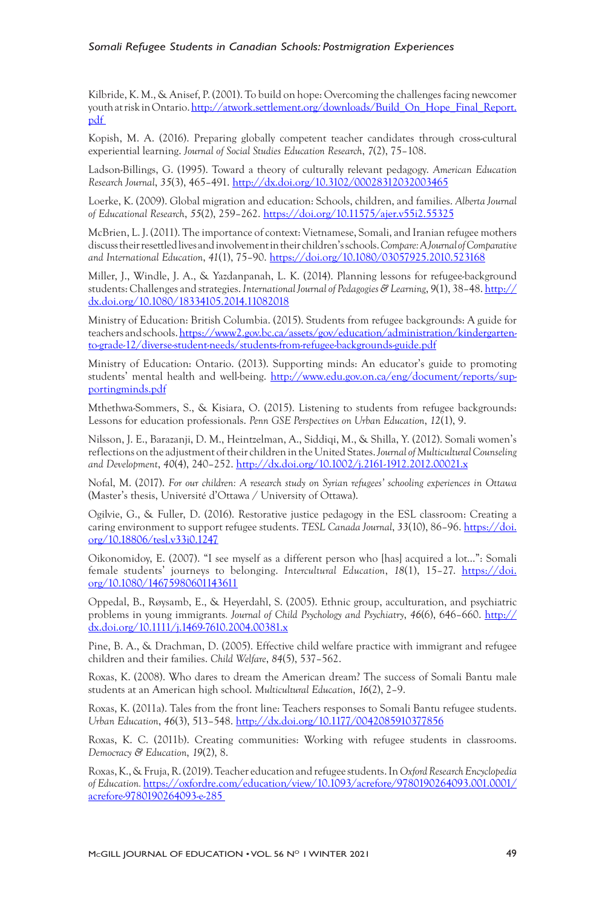#### *Somali Refugee Students in Canadian Schools: Postmigration Experiences*

Kilbride, K. M., & Anisef, P. (2001). To build on hope: Overcoming the challenges facing newcomer youth at risk in Ontario. http://atwork.settlement.org/downloads/Build\_On\_Hope\_Final\_Report. pdf

Kopish, M. A. (2016). Preparing globally competent teacher candidates through cross-cultural experiential learning. *Journal of Social Studies Education Research*, *7*(2), 75–108.

Ladson-Billings, G. (1995). Toward a theory of culturally relevant pedagogy. *American Education Research Journal*, *35*(3), 465–491. http://dx.doi.org/10.3102/00028312032003465

Loerke, K. (2009). Global migration and education: Schools, children, and families. *Alberta Journal of Educational Research*, *55*(2), 259–262. https://doi.org/10.11575/ajer.v55i2.55325

McBrien, L. J. (2011). The importance of context: Vietnamese, Somali, and Iranian refugee mothers discuss their resettled lives and involvement in their children's schools. *Compare: A Journal of Comparative and International Education*, *41*(1), 75–90. https://doi.org/10.1080/03057925.2010.523168

Miller, J., Windle, J. A., & Yazdanpanah, L. K. (2014). Planning lessons for refugee-background students: Challenges and strategies. *International Journal of Pedagogies & Learning*, *9*(1), 38–48. http:// dx.doi.org/10.1080/18334105.2014.11082018

Ministry of Education: British Columbia. (2015). Students from refugee backgrounds: A guide for teachers and schools. https://www2.gov.bc.ca/assets/gov/education/administration/kindergartento-grade-12/diverse-student-needs/students-from-refugee-backgrounds-guide.pdf

Ministry of Education: Ontario. (2013). Supporting minds: An educator's guide to promoting students' mental health and well-being. http://www.edu.gov.on.ca/eng/document/reports/supportingminds.pdf

Mthethwa-Sommers, S., & Kisiara, O. (2015). Listening to students from refugee backgrounds: Lessons for education professionals. *Penn GSE Perspectives on Urban Education*, *12*(1), 9.

Nilsson, J. E., Barazanji, D. M., Heintzelman, A., Siddiqi, M., & Shilla, Y. (2012). Somali women's reflections on the adjustment of their children in the United States. *Journal of Multicultural Counseling and Development*, *40*(4), 240–252. http://dx.doi.org/10.1002/j.2161-1912.2012.00021.x

Nofal, M. (2017). *For our children: A research study on Syrian refugees' schooling experiences in Ottawa* (Master's thesis, Université d'Ottawa / University of Ottawa).

Ogilvie, G., & Fuller, D. (2016). Restorative justice pedagogy in the ESL classroom: Creating a caring environment to support refugee students. *TESL Canada Journal*, *33*(10), 86–96. https://doi. org/10.18806/tesl.v33i0.1247

Oikonomidoy, E. (2007). "I see myself as a different person who [has] acquired a lot...": Somali female students' journeys to belonging. *Intercultural Education*, *18*(1), 15–27. https://doi. org/10.1080/14675980601143611

Oppedal, B., Røysamb, E., & Heyerdahl, S. (2005). Ethnic group, acculturation, and psychiatric problems in young immigrants*. Journal of Child Psychology and Psychiatry*, *46*(6), 646–660. http:// dx.doi.org/10.1111/j.1469-7610.2004.00381.x

Pine, B. A., & Drachman, D. (2005). Effective child welfare practice with immigrant and refugee children and their families. *Child Welfare*, *84*(5), 537–562.

Roxas, K. (2008). Who dares to dream the American dream? The success of Somali Bantu male students at an American high school. *Multicultural Education*, *16*(2), 2–9.

Roxas, K. (2011a). Tales from the front line: Teachers responses to Somali Bantu refugee students. *Urban Education*, *46*(3), 513–548. http://dx.doi.org/10.1177/0042085910377856

Roxas, K. C. (2011b). Creating communities: Working with refugee students in classrooms. *Democracy & Education*, *19*(2), 8.

Roxas, K.,& Fruja, R. (2019). Teacher education and refugee students. In*Oxford Research Encyclopedia of Education.* https://oxfordre.com/education/view/10.1093/acrefore/9780190264093.001.0001/ acrefore-9780190264093-e-285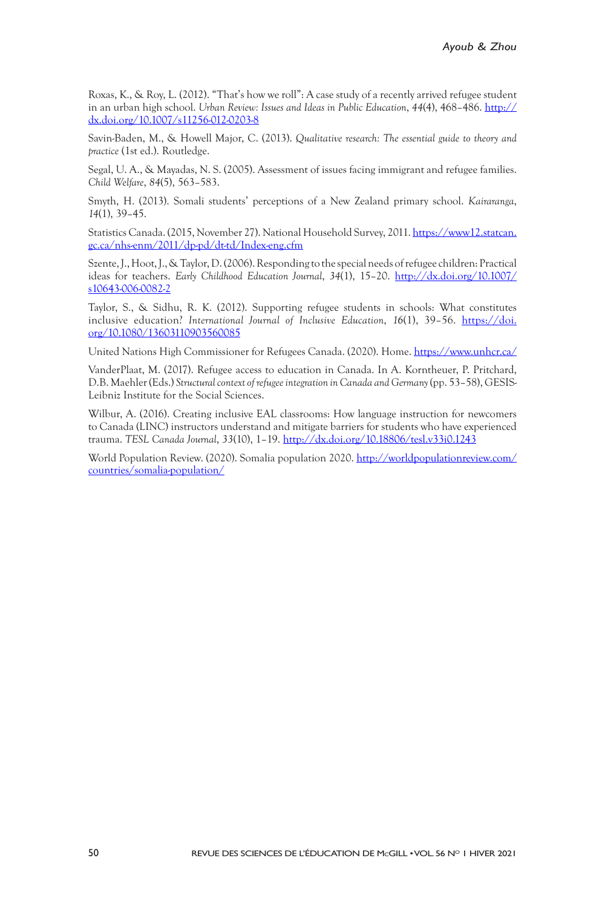Roxas, K., & Roy, L. (2012). "That's how we roll": A case study of a recently arrived refugee student in an urban high school. *Urban Review: Issues and Ideas in Public Education*, *44*(4), 468–486. http:// dx.doi.org/10.1007/s11256-012-0203-8

Savin-Baden, M., & Howell Major, C. (2013). *Qualitative research: The essential guide to theory and practice* (1st ed.). Routledge.

Segal, U. A., & Mayadas, N. S. (2005). Assessment of issues facing immigrant and refugee families. *Child Welfare*, *84*(5), 563–583.

Smyth, H. (2013). Somali students' perceptions of a New Zealand primary school. *Kairaranga*, *14*(1), 39–45.

Statistics Canada. (2015, November 27). National Household Survey, 2011. https://www12.statcan. gc.ca/nhs-enm/2011/dp-pd/dt-td/Index-eng.cfm

Szente, J., Hoot, J.,& Taylor, D. (2006). Responding to the special needs of refugee children: Practical ideas for teachers. *Early Childhood Education Journal*, *34*(1), 15–20. http://dx.doi.org/10.1007/ s10643-006-0082-2

Taylor, S., & Sidhu, R. K. (2012). Supporting refugee students in schools: What constitutes inclusive education? *International Journal of Inclusive Education*, *16*(1), 39–56. https://doi. org/10.1080/13603110903560085

United Nations High Commissioner for Refugees Canada. (2020). Home. https://www.unhcr.ca/

VanderPlaat, M. (2017). Refugee access to education in Canada. In A. Korntheuer, P. Pritchard, D.B. Maehler (Eds.) *Structural context of refugee integration in Canada and Germany* (pp. 53–58), GESIS-Leibniz Institute for the Social Sciences.

Wilbur, A. (2016). Creating inclusive EAL classrooms: How language instruction for newcomers to Canada (LINC) instructors understand and mitigate barriers for students who have experienced trauma. *TESL Canada Journal*, *33*(10), 1–19. http://dx.doi.org/10.18806/tesl.v33i0.1243

World Population Review. (2020). Somalia population 2020. http://worldpopulationreview.com/ countries/somalia-population/